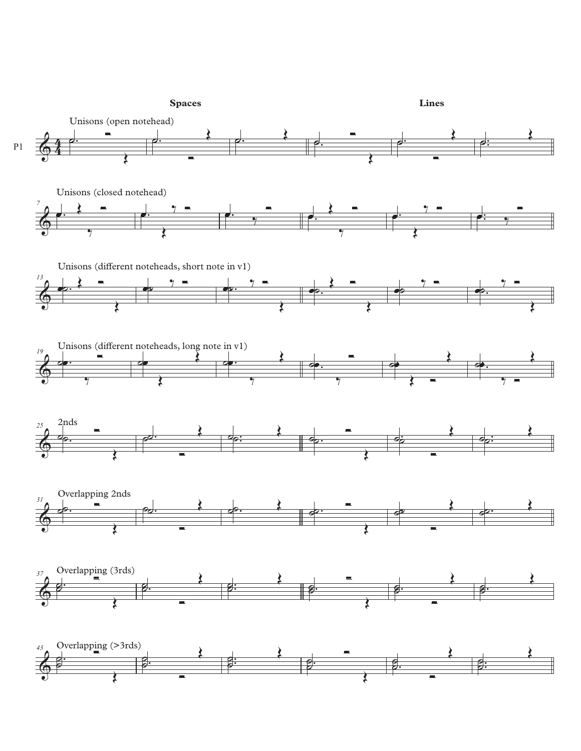